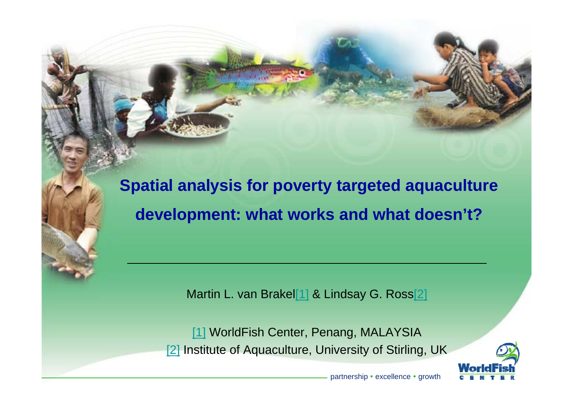**Spatial analysis for poverty targeted aquaculture development: what works and what doesn't?**

Martin L. van Brakel[1] & Lindsay G. Ross[2]

[1] WorldFish Center, Penang, MALAYSIA [2] Institute of Aquaculture, University of Stirling, UK

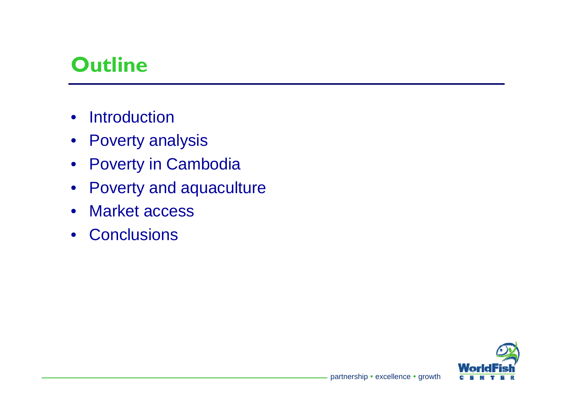### **Outline**

- •Introduction
- Poverty analysis
- Poverty in Cambodia
- Poverty and aquaculture
- Market access
- Conclusions

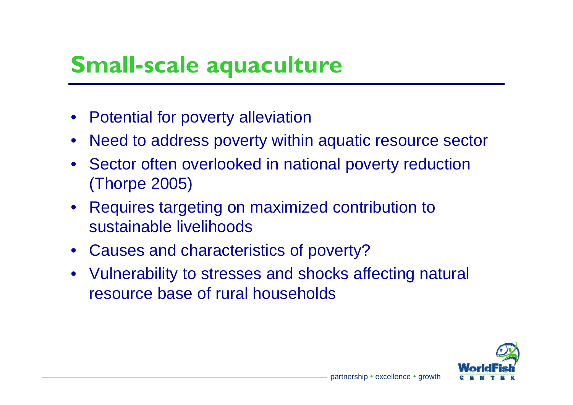# **Small-scale aquaculture**

- Potential for poverty alleviation
- •Need to address poverty within aquatic resource sector
- Sector often overlooked in national poverty reduction (Thorpe 2005)
- Requires targeting on maximized contribution to sustainable livelihoods
- Causes and characteristics of poverty?
- Vulnerability to stresses and shocks affecting natural resource base of rural households

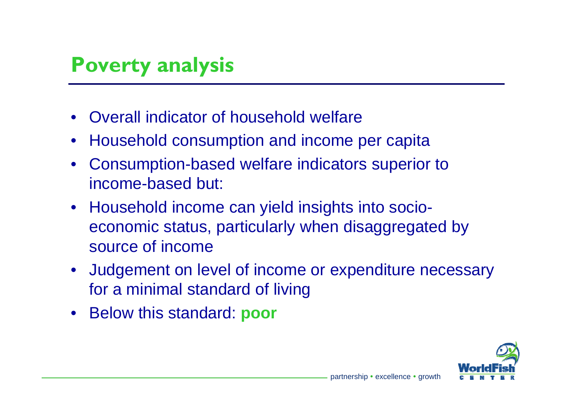#### **Poverty analysis**

- Overall indicator of household welfare
- •Household consumption and income per capita
- Consumption-based welfare indicators superior to income-based but:
- Household income can yield insights into socioeconomic status, particularly when disaggregated by source of income
- Judgement on level of income or expenditure necessary for a minimal standard of living
- Below this standard: **poor**

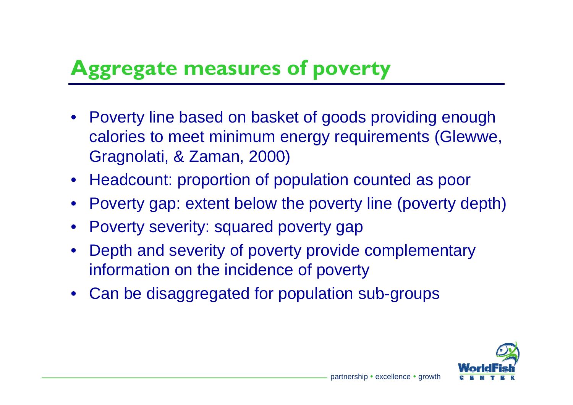## **Aggregate measures of poverty**

- Poverty line based on basket of goods providing enough calories to meet minimum energy requirements (Glewwe, Gragnolati, & Zaman, 2000)
- Headcount: proportion of population counted as poor
- Poverty gap: extent below the poverty line (poverty depth)
- •Poverty severity: squared poverty gap
- Depth and severity of poverty provide complementary information on the incidence of poverty
- Can be disaggregated for population sub-groups

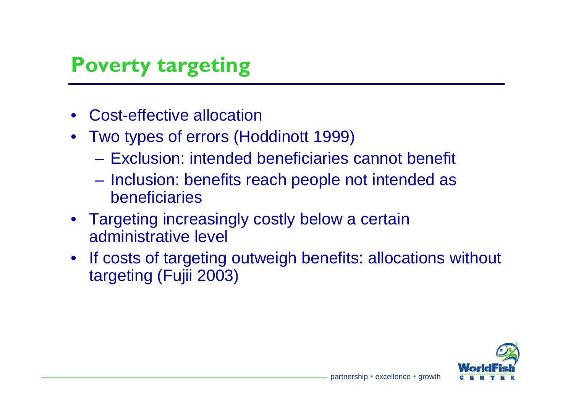### **Poverty targeting**

- •• Cost-effective allocation
- Two types of errors (Hoddinott 1999)
	- Exclusion: intended beneficiaries cannot benefit
	- Inclusion: benefits reach people not intended as beneficiaries
- Targeting increasingly costly below a certain administrative level
- $\bullet$  If costs of targeting outweigh benefits: allocations without targeting (Fujii 2003)

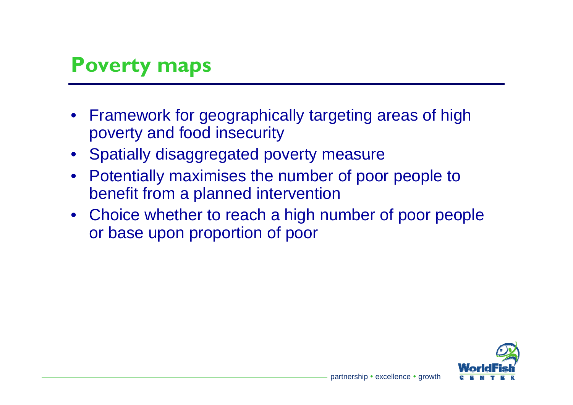#### **Poverty maps**

- Framework for geographically targeting areas of high poverty and food insecurity
- Spatially disaggregated poverty measure
- Potentially maximises the number of poor people to benefit from a planned intervention
- Choice whether to reach a high number of poor people or base upon proportion of poor

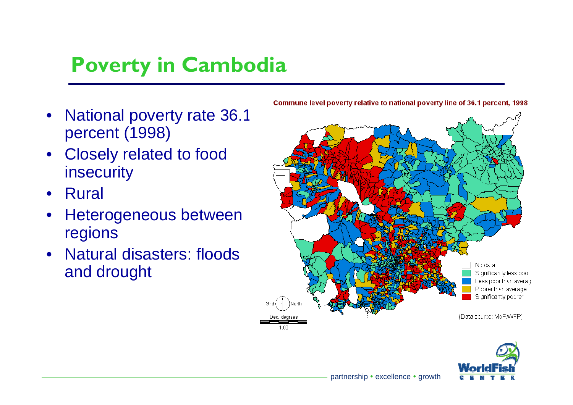## **Poverty in Cambodia**

- •• National poverty rate 36.1 percent (1998)
- Closely related to food insecurity
- •Rural
- • Heterogeneous between regions
- •• Natural disasters: floods and drought





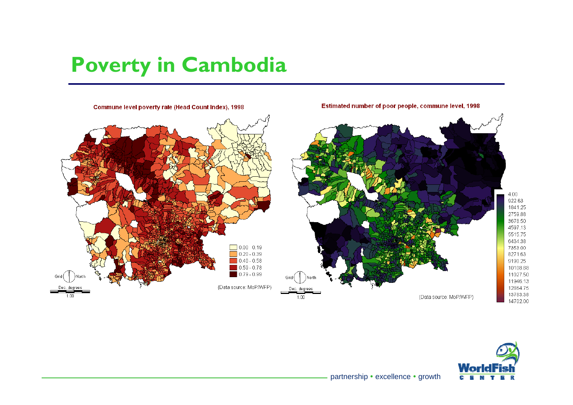## **Poverty in Cambodia**





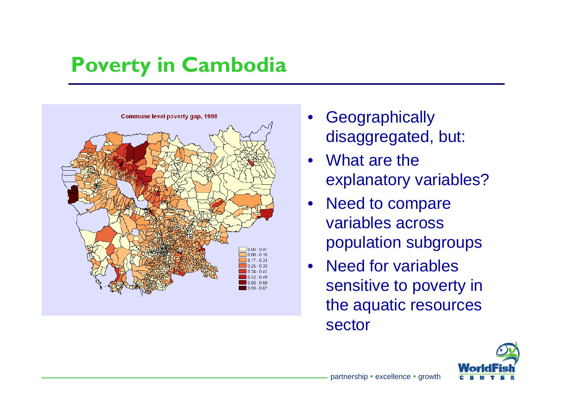## **Poverty in Cambodia**



- $\bullet$ **Geographically** disaggregated, but:
- What are the explanatory variables?
- $\bullet$  Need to compare variables across population subgroups
- Need for variables sensitive to poverty in the aquatic resources sector

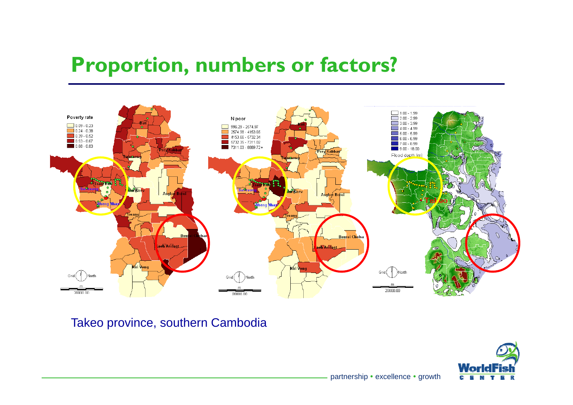#### **Proportion numbers or factors? Proportion,**



Takeo province, southern Cambodia

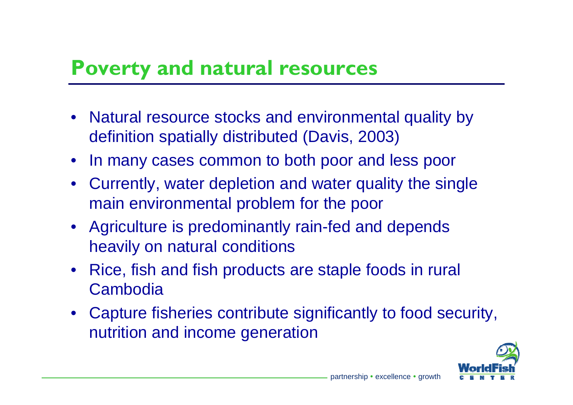#### **P t dt l Pover ty an d na tura l resources**

- Natural resource stocks and environmental quality by definition spatially distributed (Davis, 2003)
- In many cases common to both poor and less poor
- Currently, water depletion and water quality the single main environmental problem for the poor
- Agriculture is predominantly rain-fed and depends heavily on natural conditions
- Rice, fish and fish products are staple foods in rural Cambodia
- Capture fisheries contribute significantly to food security, nutrition and income generation g

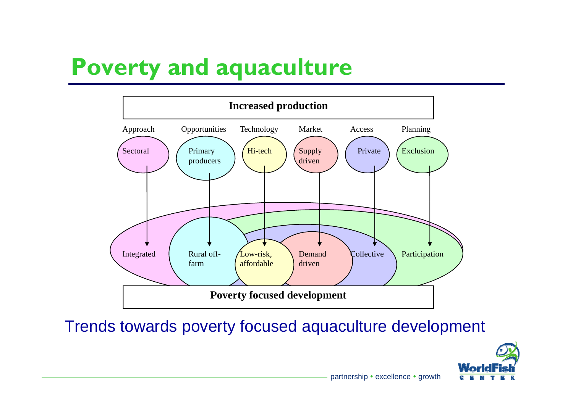# **Poverty and aquaculture**



Trends towards poverty focused aquaculture development

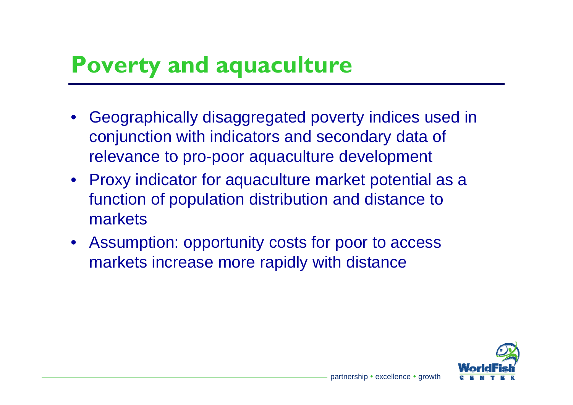# **Poverty and aquaculture**

- Geographically disaggregated poverty indices used in conjunction with indicators and secondary data of relevance to pro-poor aquaculture development
- Proxy indicator for aquaculture market potential as a function of population distribution and distance to markets
- Assumption: opportunity costs for poor to access markets increase more rapidly with distance

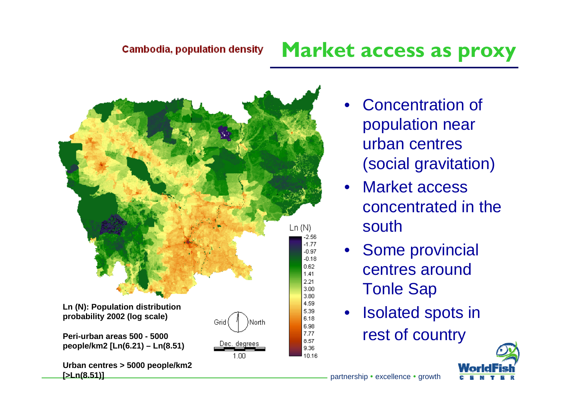#### **Market access as proxy**



- •• Concentration of population near urban centres (social gravitation)
- • Market accessconcentrated in the south
- • Some provincial centres around Tonle Sap
- • Isolated spots in rest of country

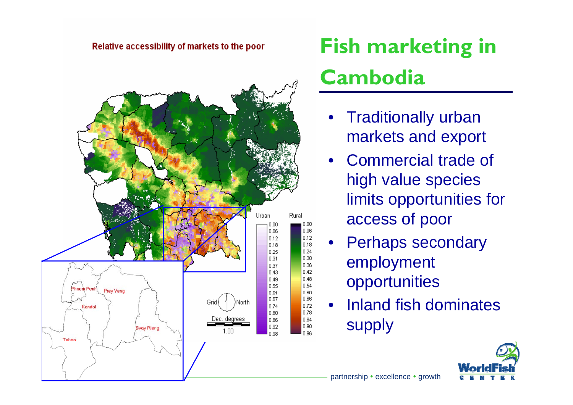#### Relative accessibility of markets to the poor



# **Fish marketing in Cambodia**

- • Traditionally urban markets and export
- •• Commercial trade of high value species limits opportunities for access of poor
- •Perhaps secondary employment opportunities
- • Inland fish dominates supply

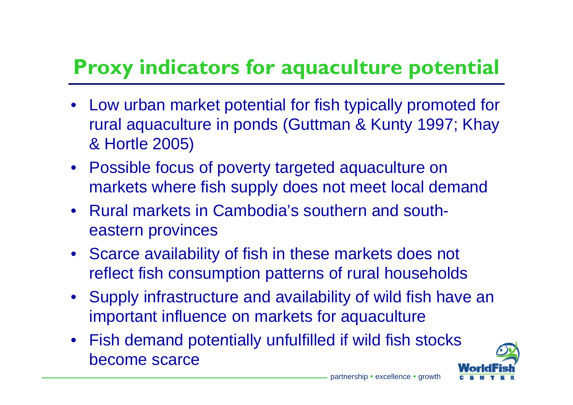# **Proxy indicators for aquaculture potential**

- Low urban market potential for fish typically promoted for rural aquaculture in ponds (Guttman & Kunty 1997; Khay & Hortle 2005)
- Possible focus of poverty targeted aquaculture on markets where fish supply does not meet local demand
- Rural markets in Cambodia's southern and southeastern provinces
- Scarce availability of fish in these markets does not reflect fish consumption patterns of rural households
- Supply infrastructure and availability of wild fish have an important influence on markets for aquaculture
- Fish demand potentially unfulfilled if wild fish stocks  $\bullet$ become scarce